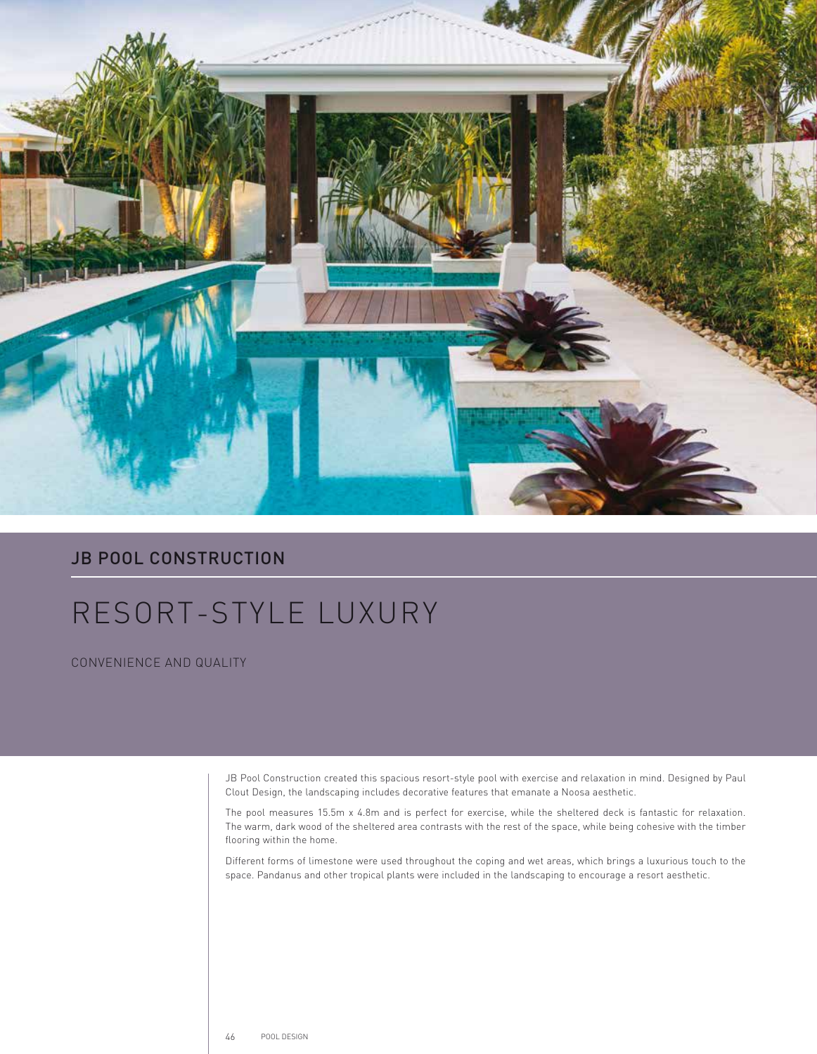

## **JB POOL CONSTRUCTION**

## RESORT-STYLE LUXURY

CONVENIENCE AND QUALITY

JB Pool Construction created this spacious resort-style pool with exercise and relaxation in mind. Designed by Paul Clout Design, the landscaping includes decorative features that emanate a Noosa aesthetic.

The pool measures 15.5m x 4.8m and is perfect for exercise, while the sheltered deck is fantastic for relaxation. The warm, dark wood of the sheltered area contrasts with the rest of the space, while being cohesive with the timber flooring within the home.

Different forms of limestone were used throughout the coping and wet areas, which brings a luxurious touch to the space. Pandanus and other tropical plants were included in the landscaping to encourage a resort aesthetic.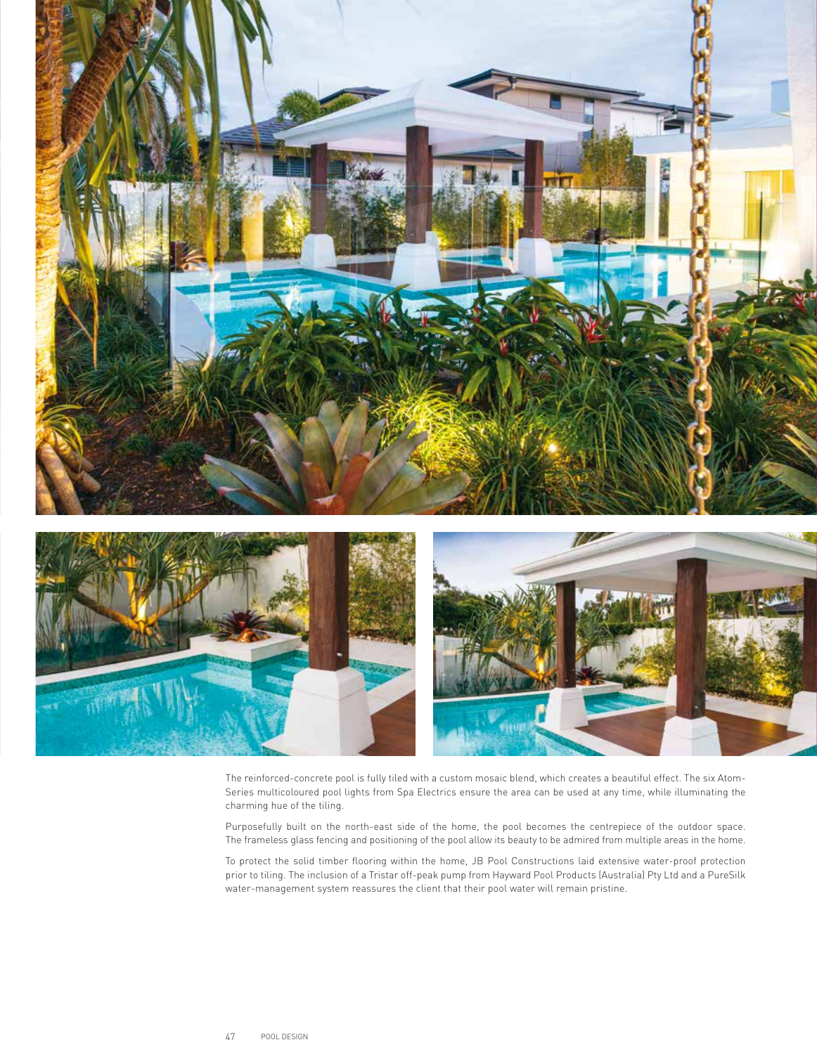

The reinforced-concrete pool is fully tiled with a custom mosaic blend, which creates a beautiful effect. The six Atom-Series multicoloured pool lights from Spa Electrics ensure the area can be used at any time, while illuminating the charming hue of the tiling.

Purposefully built on the north-east side of the home, the pool becomes the centrepiece of the outdoor space. The frameless glass fencing and positioning of the pool allow its beauty to be admired from multiple areas in the home.

To protect the solid timber flooring within the home, JB Pool Constructions laid extensive water-proof protection prior to tiling. The inclusion of a Tristar off-peak pump from Hayward Pool Products (Australia) Pty Ltd and a PureSilk water-management system reassures the client that their pool water will remain pristine.